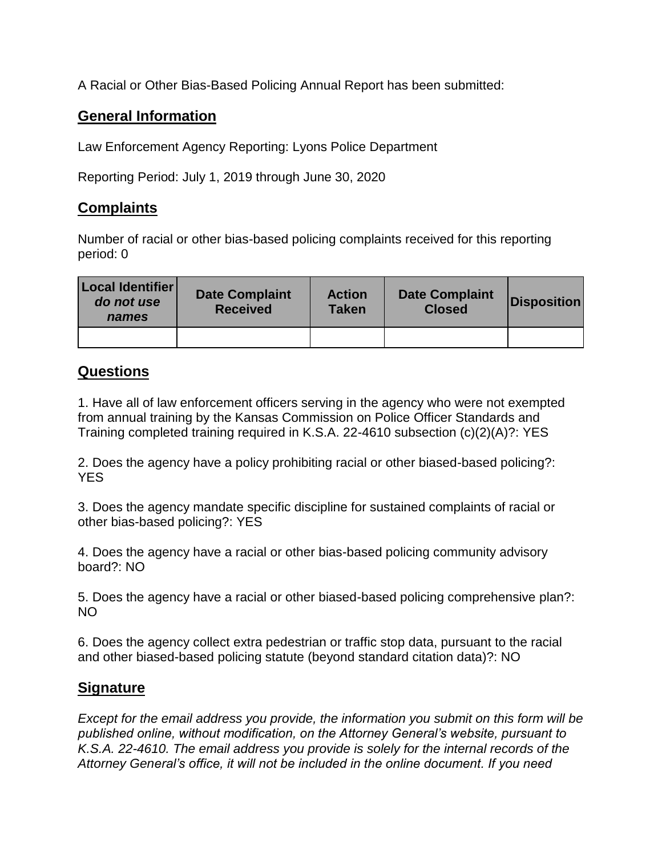A Racial or Other Bias-Based Policing Annual Report has been submitted:

## **General Information**

Law Enforcement Agency Reporting: Lyons Police Department

Reporting Period: July 1, 2019 through June 30, 2020

## **Complaints**

Number of racial or other bias-based policing complaints received for this reporting period: 0

| Local Identifier<br>do not use<br>names | <b>Date Complaint</b><br><b>Received</b> | <b>Action</b><br><b>Taken</b> | <b>Date Complaint</b><br><b>Closed</b> | <b>Disposition</b> |
|-----------------------------------------|------------------------------------------|-------------------------------|----------------------------------------|--------------------|
|                                         |                                          |                               |                                        |                    |

## **Questions**

1. Have all of law enforcement officers serving in the agency who were not exempted from annual training by the Kansas Commission on Police Officer Standards and Training completed training required in K.S.A. 22-4610 subsection (c)(2)(A)?: YES

2. Does the agency have a policy prohibiting racial or other biased-based policing?: YES

3. Does the agency mandate specific discipline for sustained complaints of racial or other bias-based policing?: YES

4. Does the agency have a racial or other bias-based policing community advisory board?: NO

5. Does the agency have a racial or other biased-based policing comprehensive plan?: NO

6. Does the agency collect extra pedestrian or traffic stop data, pursuant to the racial and other biased-based policing statute (beyond standard citation data)?: NO

## **Signature**

*Except for the email address you provide, the information you submit on this form will be published online, without modification, on the Attorney General's website, pursuant to K.S.A. 22-4610. The email address you provide is solely for the internal records of the Attorney General's office, it will not be included in the online document. If you need*